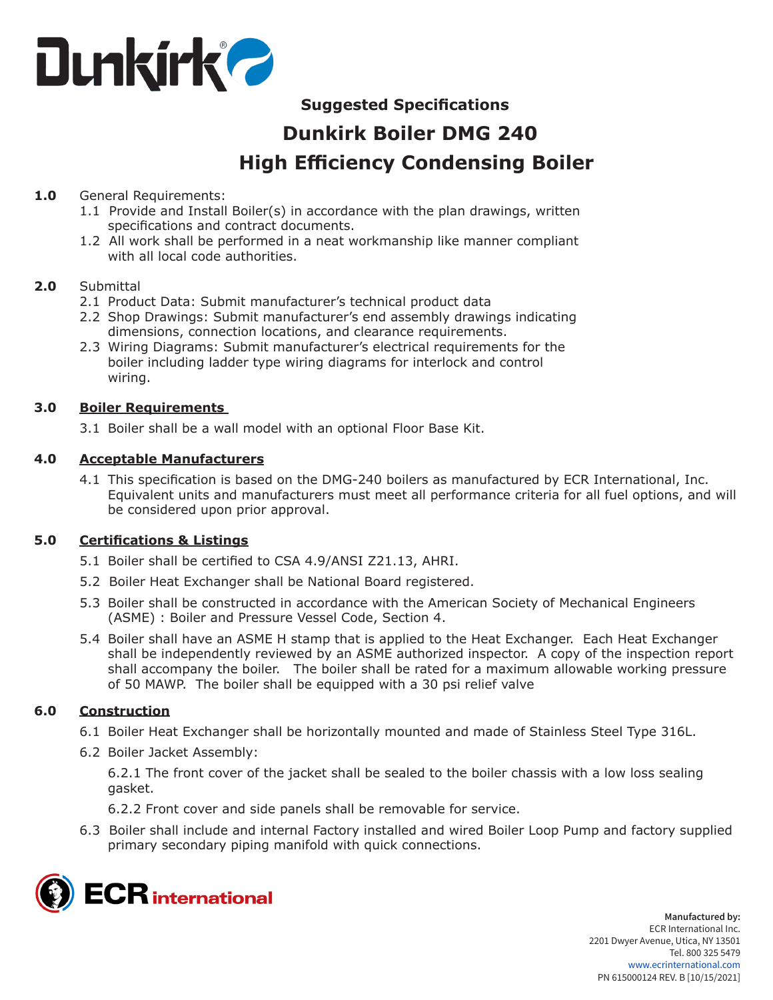

# **Suggested Specifications**

# **Dunkirk Boiler DMG 240 High Efficiency Condensing Boiler**

# **1.0** General Requirements:

- 1.1 Provide and Install Boiler(s) in accordance with the plan drawings, written specifications and contract documents.
- 1.2 All work shall be performed in a neat workmanship like manner compliant with all local code authorities.

#### **2.0** Submittal

- 2.1 Product Data: Submit manufacturer's technical product data
- 2.2 Shop Drawings: Submit manufacturer's end assembly drawings indicating dimensions, connection locations, and clearance requirements.
- 2.3 Wiring Diagrams: Submit manufacturer's electrical requirements for the boiler including ladder type wiring diagrams for interlock and control wiring.

#### **3.0 Boiler Requirements**

3.1 Boiler shall be a wall model with an optional Floor Base Kit.

# **4.0 Acceptable Manufacturers**

4.1 This specification is based on the DMG-240 boilers as manufactured by ECR International, Inc. Equivalent units and manufacturers must meet all performance criteria for all fuel options, and will be considered upon prior approval.

#### **5.0 Certifications & Listings**

- 5.1 Boiler shall be certified to CSA 4.9/ANSI Z21.13, AHRI.
- 5.2 Boiler Heat Exchanger shall be National Board registered.
- 5.3 Boiler shall be constructed in accordance with the American Society of Mechanical Engineers (ASME) : Boiler and Pressure Vessel Code, Section 4.
- 5.4 Boiler shall have an ASME H stamp that is applied to the Heat Exchanger. Each Heat Exchanger shall be independently reviewed by an ASME authorized inspector. A copy of the inspection report shall accompany the boiler. The boiler shall be rated for a maximum allowable working pressure of 50 MAWP. The boiler shall be equipped with a 30 psi relief valve

#### **6.0 Construction**

- 6.1 Boiler Heat Exchanger shall be horizontally mounted and made of Stainless Steel Type 316L.
- 6.2 Boiler Jacket Assembly:

6.2.1 The front cover of the jacket shall be sealed to the boiler chassis with a low loss sealing gasket.

6.2.2 Front cover and side panels shall be removable for service.

6.3 Boiler shall include and internal Factory installed and wired Boiler Loop Pump and factory supplied primary secondary piping manifold with quick connections.

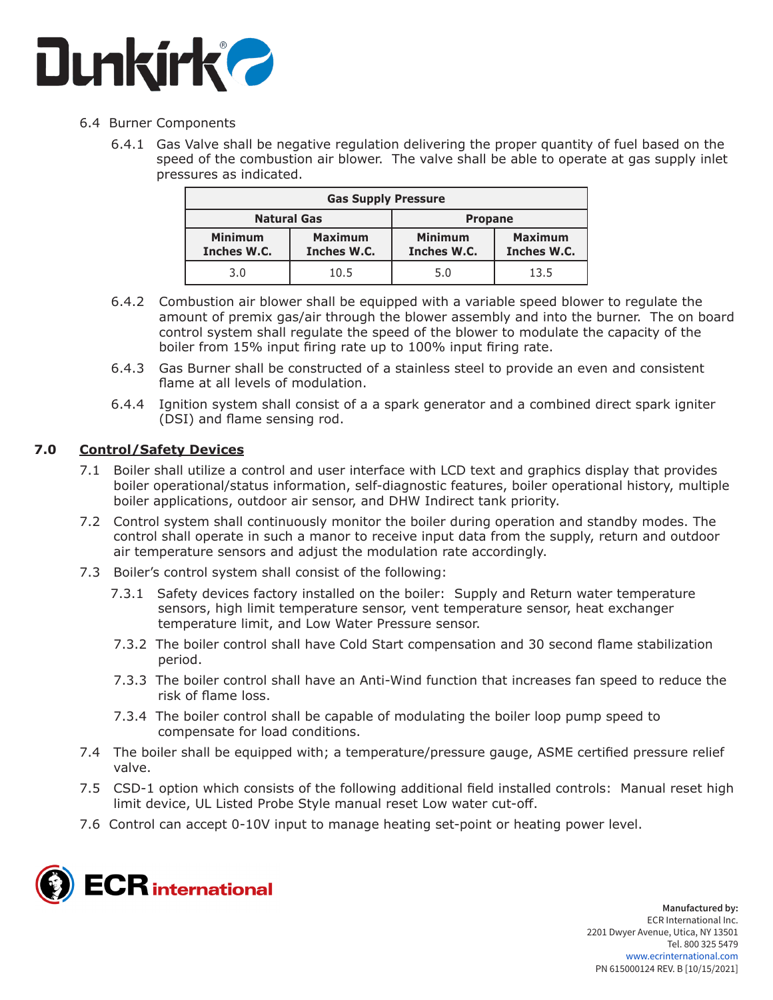

#### 6.4 Burner Components

 6.4.1 Gas Valve shall be negative regulation delivering the proper quantity of fuel based on the speed of the combustion air blower. The valve shall be able to operate at gas supply inlet pressures as indicated.

| <b>Gas Supply Pressure</b>    |                               |                               |                               |
|-------------------------------|-------------------------------|-------------------------------|-------------------------------|
| <b>Natural Gas</b>            |                               | <b>Propane</b>                |                               |
| <b>Minimum</b><br>Inches W.C. | <b>Maximum</b><br>Inches W.C. | <b>Minimum</b><br>Inches W.C. | <b>Maximum</b><br>Inches W.C. |
| 3.0                           | 10.5                          | 5.0                           | 13.5                          |

- 6.4.2 Combustion air blower shall be equipped with a variable speed blower to regulate the amount of premix gas/air through the blower assembly and into the burner. The on board control system shall regulate the speed of the blower to modulate the capacity of the boiler from 15% input firing rate up to 100% input firing rate.
- 6.4.3 Gas Burner shall be constructed of a stainless steel to provide an even and consistent flame at all levels of modulation.
- 6.4.4 Ignition system shall consist of a a spark generator and a combined direct spark igniter (DSI) and flame sensing rod.

#### **7.0 Control/Safety Devices**

- 7.1 Boiler shall utilize a control and user interface with LCD text and graphics display that provides boiler operational/status information, self-diagnostic features, boiler operational history, multiple boiler applications, outdoor air sensor, and DHW Indirect tank priority.
- 7.2 Control system shall continuously monitor the boiler during operation and standby modes. The control shall operate in such a manor to receive input data from the supply, return and outdoor air temperature sensors and adjust the modulation rate accordingly.
- 7.3 Boiler's control system shall consist of the following:
	- 7.3.1 Safety devices factory installed on the boiler: Supply and Return water temperature sensors, high limit temperature sensor, vent temperature sensor, heat exchanger temperature limit, and Low Water Pressure sensor.
	- 7.3.2 The boiler control shall have Cold Start compensation and 30 second flame stabilization period.
	- 7.3.3 The boiler control shall have an Anti-Wind function that increases fan speed to reduce the risk of flame loss.
	- 7.3.4 The boiler control shall be capable of modulating the boiler loop pump speed to compensate for load conditions.
- 7.4 The boiler shall be equipped with; a temperature/pressure gauge, ASME certified pressure relief valve.
- 7.5 CSD-1 option which consists of the following additional field installed controls: Manual reset high limit device, UL Listed Probe Style manual reset Low water cut-off.
- 7.6 Control can accept 0-10V input to manage heating set-point or heating power level.

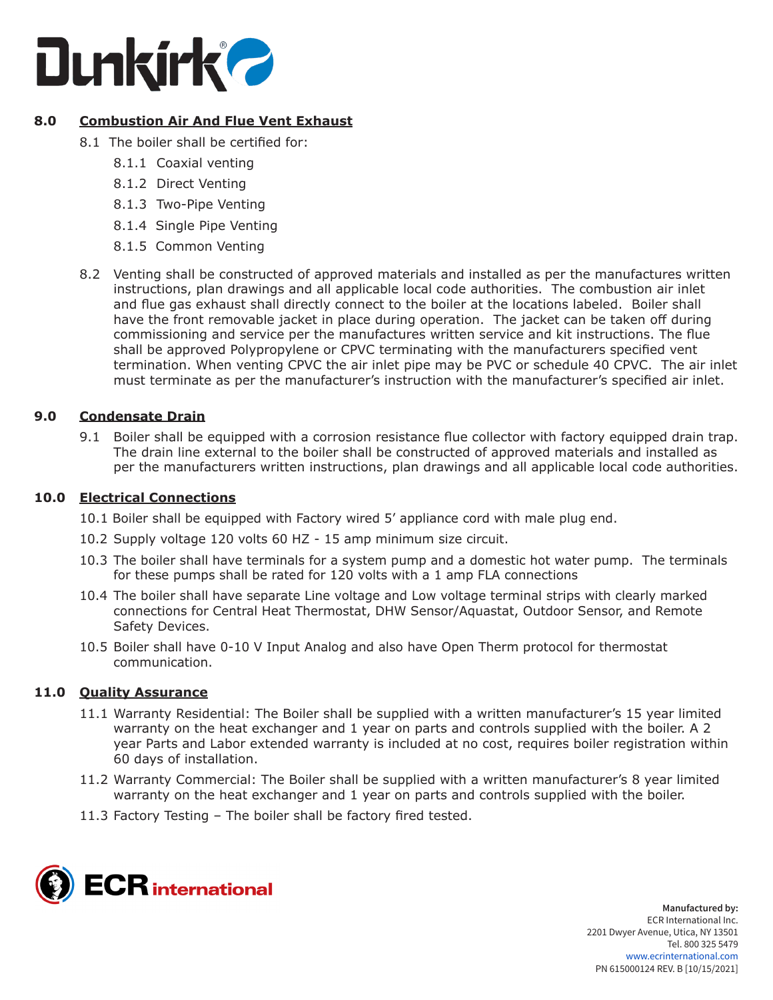

# **8.0 Combustion Air And Flue Vent Exhaust**

- 8.1 The boiler shall be certified for:
	- 8.1.1 Coaxial venting
	- 8.1.2 Direct Venting
	- 8.1.3 Two-Pipe Venting
	- 8.1.4 Single Pipe Venting
	- 8.1.5 Common Venting
- 8.2 Venting shall be constructed of approved materials and installed as per the manufactures written instructions, plan drawings and all applicable local code authorities. The combustion air inlet and flue gas exhaust shall directly connect to the boiler at the locations labeled. Boiler shall have the front removable jacket in place during operation. The jacket can be taken off during commissioning and service per the manufactures written service and kit instructions. The flue shall be approved Polypropylene or CPVC terminating with the manufacturers specified vent termination. When venting CPVC the air inlet pipe may be PVC or schedule 40 CPVC. The air inlet must terminate as per the manufacturer's instruction with the manufacturer's specified air inlet.

# **9.0 Condensate Drain**

9.1 Boiler shall be equipped with a corrosion resistance flue collector with factory equipped drain trap. The drain line external to the boiler shall be constructed of approved materials and installed as per the manufacturers written instructions, plan drawings and all applicable local code authorities.

#### **10.0 Electrical Connections**

- 10.1 Boiler shall be equipped with Factory wired 5' appliance cord with male plug end.
- 10.2 Supply voltage 120 volts 60 HZ 15 amp minimum size circuit.
- 10.3 The boiler shall have terminals for a system pump and a domestic hot water pump. The terminals for these pumps shall be rated for 120 volts with a 1 amp FLA connections
- 10.4 The boiler shall have separate Line voltage and Low voltage terminal strips with clearly marked connections for Central Heat Thermostat, DHW Sensor/Aquastat, Outdoor Sensor, and Remote Safety Devices.
- 10.5 Boiler shall have 0-10 V Input Analog and also have Open Therm protocol for thermostat communication.

#### **11.0 Quality Assurance**

- 11.1 Warranty Residential: The Boiler shall be supplied with a written manufacturer's 15 year limited warranty on the heat exchanger and 1 year on parts and controls supplied with the boiler. A 2 year Parts and Labor extended warranty is included at no cost, requires boiler registration within 60 days of installation.
- 11.2 Warranty Commercial: The Boiler shall be supplied with a written manufacturer's 8 year limited warranty on the heat exchanger and 1 year on parts and controls supplied with the boiler.
- 11.3 Factory Testing The boiler shall be factory fired tested.